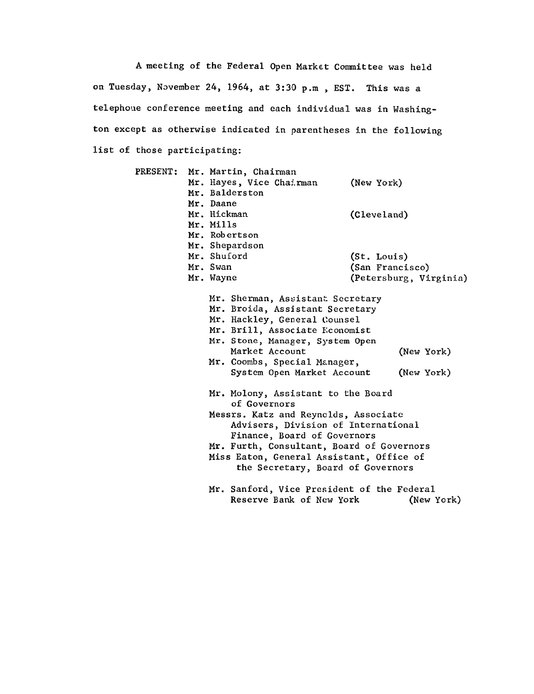A meeting of the Federal Open Market Committee was held on Tuesday, November 24, 1964, at 3:30 p.m , EST. This was a telephone conference meeting and each individual was in Washing ton except as otherwise indicated in parentheses in the following list of those participating:

| <b>PRESENT:</b> |  | Mr. Martin, Chairman                                                                  |                 |                        |
|-----------------|--|---------------------------------------------------------------------------------------|-----------------|------------------------|
|                 |  | Mr. Hayes, Vice Chairman                                                              | (New York)      |                        |
|                 |  | Mr. Balderston                                                                        |                 |                        |
|                 |  | Mr. Daane                                                                             |                 |                        |
|                 |  | Mr. Hickman                                                                           | (Cleveland)     |                        |
|                 |  | Mr. Mills                                                                             |                 |                        |
|                 |  | Mr. Robertson                                                                         |                 |                        |
|                 |  | Mr. Shepardson                                                                        |                 |                        |
|                 |  | Mr. Shuford                                                                           | (St. Louis)     |                        |
|                 |  | Mr. Swan                                                                              | (San Francisco) |                        |
|                 |  | Mr. Wayne                                                                             |                 | (Petersburg, Virginia) |
|                 |  | Mr. Sherman, Assistant Secretary                                                      |                 |                        |
|                 |  | Mr. Broida, Assistant Secretary<br>Mr. Hackley, General Counsel                       |                 |                        |
|                 |  |                                                                                       |                 |                        |
|                 |  | Mr. Brill, Associate Economist                                                        |                 |                        |
|                 |  | Mr. Stone, Manager, System Open                                                       |                 |                        |
|                 |  | Market Account                                                                        |                 | (New York)             |
|                 |  | Mr. Coombs, Special Manager,                                                          |                 |                        |
|                 |  | System Open Market Account                                                            |                 | (New York)             |
|                 |  | Mr. Molony, Assistant to the Board<br>of Governors                                    |                 |                        |
|                 |  | Messrs. Katz and Reynolds, Associate                                                  |                 |                        |
|                 |  | Advisers, Division of International                                                   |                 |                        |
|                 |  | Finance, Board of Governors                                                           |                 |                        |
|                 |  | Mr. Furth, Consultant, Board of Governors<br>Miss Eaton, General Assistant, Office of |                 |                        |
|                 |  |                                                                                       |                 |                        |
|                 |  | the Secretary, Board of Governors                                                     |                 |                        |
|                 |  | Mr. Sanford, Vice President of the Federal                                            |                 |                        |
|                 |  | Reserve Bank of New York                                                              |                 | (New York)             |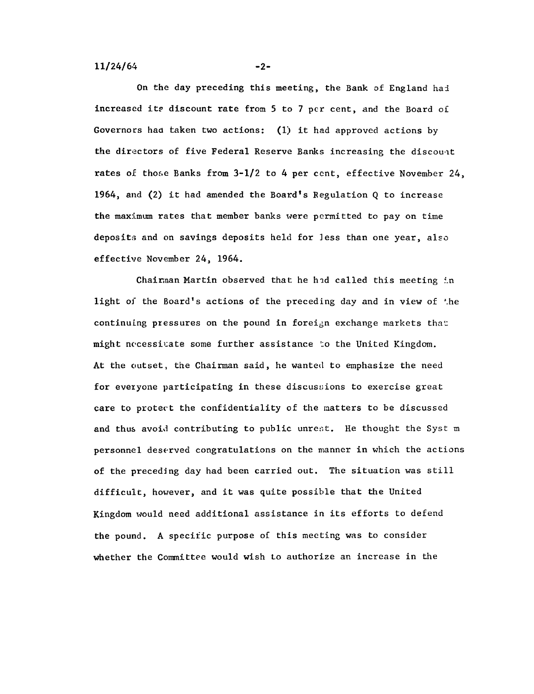On the day preceding this meeting, the Bank of England had increased its discount rate from **5** to 7 per cent, and the Board of Governors had taken two actions: (1) it had approved actions by the directors of five Federal Reserve Banks increasing the discount rates of those Banks from 3-1/2 to 4 per cent, effective November 24, 1964, and (2) it had amended the Board's Regulation Q to increase the maximum rates that member banks were permitted to pay on time deposits and on savings deposits held for less than one year, also effective November 24, 1964.

Chairman Martin observed that he had called this meeting in light of the Board's actions of the preceding day and in view of 'he continuing pressures on the pound in foreign exchange markets that might necessitate some further assistance to the United Kingdom. At the outset, the Chairman said, he wanted to emphasize the need for everyone participating in these discussions to exercise great care to protect the confidentiality of the matters to be discussed and thus avoid contributing to public unrest. He thought the Syst m personnel deserved congratulations on the manner in which the actions of the preceding day had been carried out. The situation was still difficult, however, and it was quite possible that the United Kingdom would need additional assistance in its efforts to defend the pound. A specific purpose of this meeting was to consider whether the Committee would wish to authorize an increase in the

 $-2-$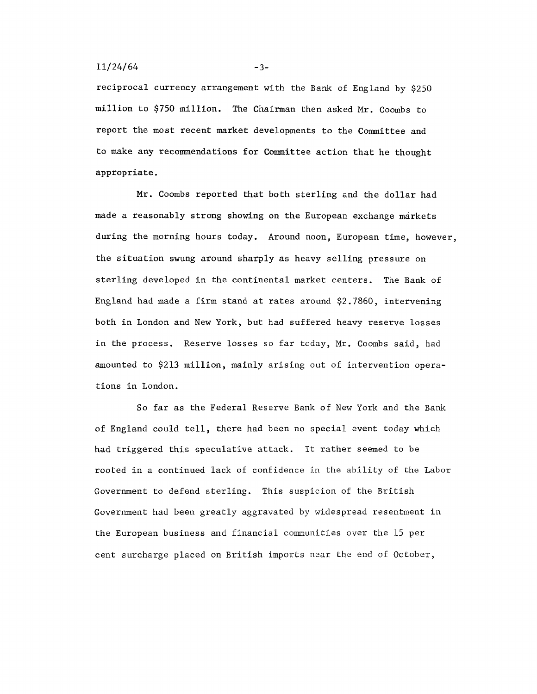#### $11/24/64$  -3-

reciprocal currency arrangement with the Bank of England by \$250 million to \$750 million. The Chairman then asked Mr. Coombs to report the most recent **market developments** to the Committee and **to make any recommendations for Committee** action that he thought **appropriate.**

**Mr. Coombs** reported that both sterling and the dollar had made a reasonably **strong showing on** the European exchange **markets** during the morning hours today. Around noon, European **time,** however, the situation **swung** around sharply as heavy selling pressure on sterling developed in the continental market centers. The Bank of England had made a firm stand at rates around \$2.7860, intervening both in London and New York, but had suffered heavy reserve losses in the process. Reserve losses so far today, Mr. Coombs said, had amounted to \$213 million, mainly arising out of intervention operations in London.

So far as the Federal Reserve Bank of New York and the Bank of England could tell, there had been no special event today which had triggered this speculative attack. It rather seemed to be rooted in a continued lack of confidence in the ability of the Labor Government to defend sterling. This suspicion of the British Government had been greatly aggravated by widespread resentment in the European business and financial communities over the 15 per cent surcharge placed on British imports near the end of October,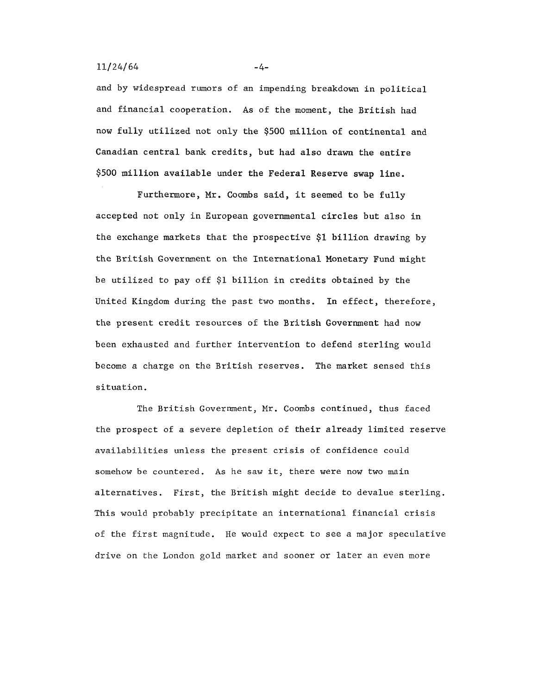### $11/24/64$  -4-

and by widespread rumors of an impending breakdown in political and financial cooperation. As of the moment, the British had now fully utilized not only the \$500 million of continental and **Canadian** central bank credits, but **had also drawn the entire** \$500 million **available under the Federal Reserve swap line.**

Furthermore, Mr. Coombs **said, it seemed** to be fully accepted not only in European governmental circles but also in the exchange markets that the prospective \$1 billion drawing by the British Government on the International Monetary Fund might be utilized to pay off \$1 billion in credits obtained by the United Kingdom during the past two months. In effect, therefore, the present credit resources of the British Government had now been exhausted and further intervention to defend sterling would become a charge on the British **reserves.** The market sensed this situation.

The British Government, Mr. Coombs continued, thus faced the prospect of a severe depletion of their already limited reserve availabilities unless the present crisis of confidence could somehow be countered. As he saw it, there were now two main alternatives. First, the British might decide to devalue sterling. This would probably precipitate an international financial crisis of the first magnitude. He would expect to see a major speculative drive on the London gold market and sooner or later an even more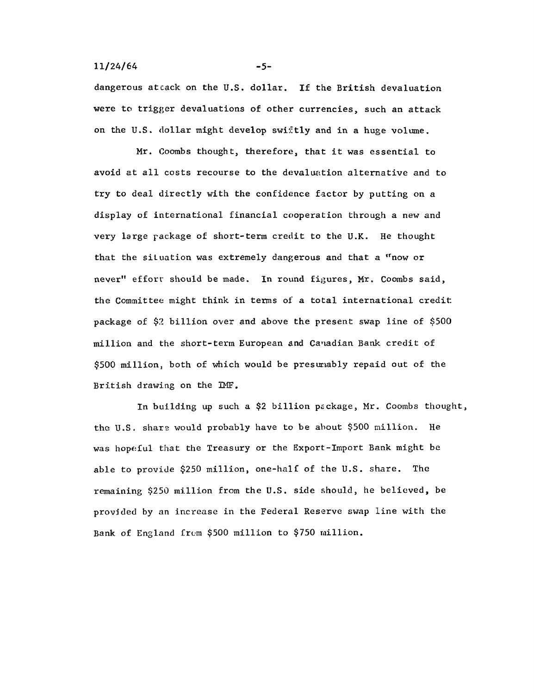# $11/24/64$  -5-

dangerous attack on the U.S. dollar. If the British devaluation were to trigger devaluations of other currencies, such an attack on the U.S. dollar might develop swiftly and in a huge volume.

Mr. Coombs thought, therefore, that it was essential to avoid at all costs recourse to the devaluation alternative and to try to deal directly with the confidence factor by putting on a display of international financial cooperation through a new and very large package of short-term credit to the U.K. He thought that the situation was extremely dangerous and that a "now or never" effort should be made. In round figures, Mr. Coombs said, the Committee might think in terms of a total international credit package of \$2 billion over and above the present swap line of \$500 million and the short-term European and Canadian Bank credit of \$500 million, both of which would be presumably repaid out of the British drawing on the IMF.

In building up such a \$2 billion package, Mr. Coombs thought, the U.S. share would probably have to be about \$500 million. He was hopeful that the Treasury or the Export-Import Bank might be able to provide \$250 million, one-half of the U.S. share. The remaining \$250 million from the U.S. side should, he believed, be provided by an increase in the Federal Reserve swap line with the Bank of England from \$500 million to \$750 million.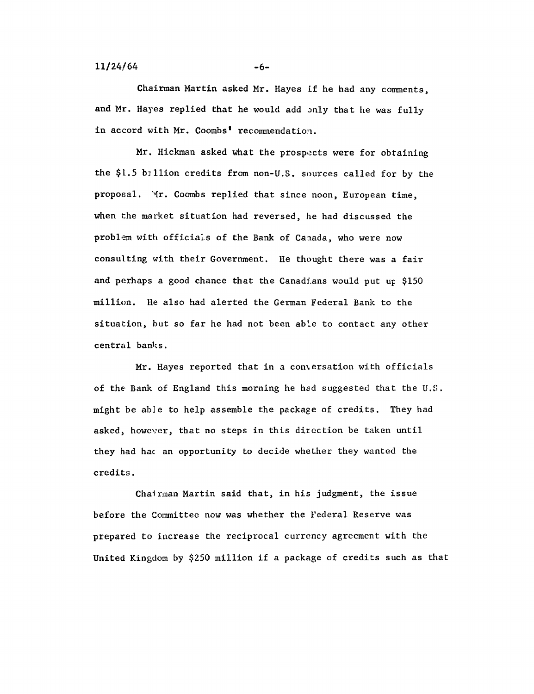$-6-$ 

Chairman Martin asked Mr. Hayes if he had any comments, and Mr. Hayes replied that he would add only that he was fully in accord with Mr. Coombs' recommendation.

Mr. Hickman asked what the prospects were for obtaining the \$1.5 billion credits from non-U.S. sources called for by the proposal. Mr. Coombs replied that since noon, European time, when the market situation had reversed, he had discussed the problem with officials of the Bank of Canada, who were now consulting with their Government. He thought there was a fair and perhaps a good chance that the Canadians would put up \$150 million. He also had alerted the German Federal Bank to the situation, but so far he had not been able to contact any other central banks.

Mr. Hayes reported that in a conversation with officials of the Bank of England this morning he had suggested that the U.S. might be able to help assemble the package of credits. They had asked, however, that no steps in this direction be taken until they had hac an opportunity to decide whether they wanted the credits.

Chairman Martin said that, in his judgment, the issue before the Committee now was whether the Federal Reserve was prepared to increase the reciprocal currency agreement with the United Kingdom by \$250 million if a package of credits such as that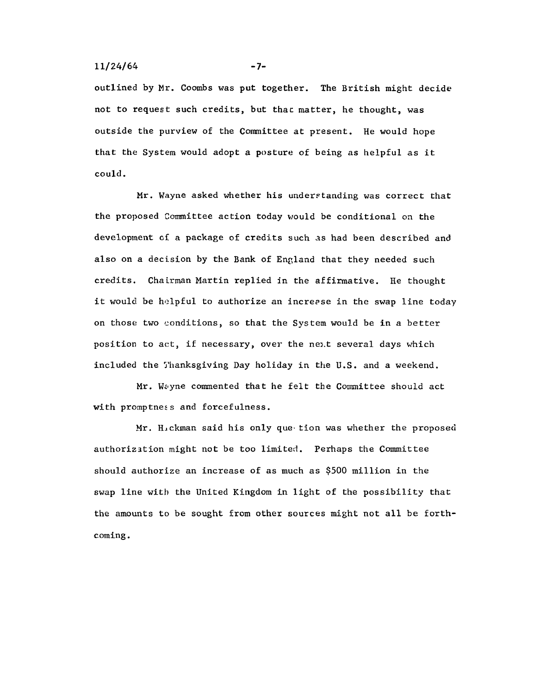## $11/24/64$  -7-

outlined by Mr. Coombs was put together. The British might decide not to request such credits, but thac matter, he thought, was outside the purview of the Committee at present. He would hope that the System would adopt a posture of being as helpful as it could.

Mr. Wayne asked whether his understanding was correct that the proposed Committee action today would be conditional on the development of a package of credits such as had been described and also on a decision by the Bank of England that they needed such credits. Chairman Martin replied in the affirmative. He thought it would be helpful to authorize an increase in the swap line today on those two conditions, so that the System would be in a better position to act, if necessary, over the next several days which included the Thanksgiving Day holiday in the U.S. and a weekend.

Mr. Wayne commented that he felt the Committee should act with promptness and forcefulness.

Mr. Hickman said his only que tion was whether the proposed authorization might not be too limited. Perhaps the Committee should authorize an increase of as much as \$500 million in the swap line with the United Kingdom in light of the possibility that the amounts to be sought from other sources might not all be forth coming.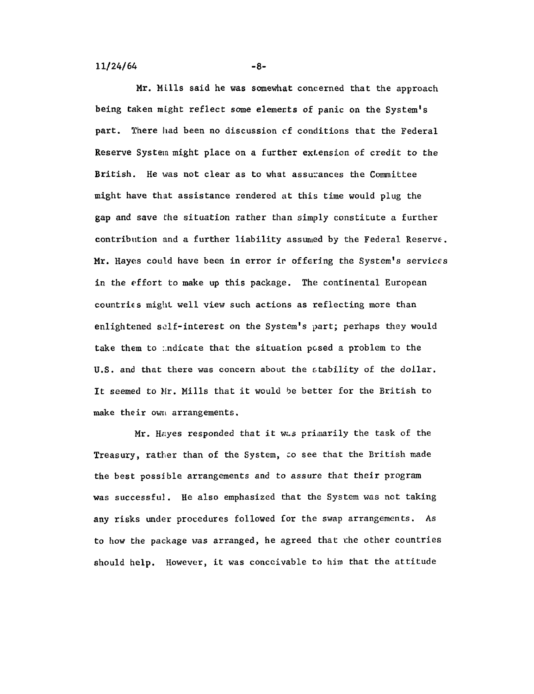**-8-**

Mr. Mills said he was somewhat concerned that the approach being taken might reflect some elements of panic on the System's part. There had been no discussion of conditions that the Federal Reserve System might place on a further extension of credit to the British. He was not clear as to what assurances the Committee might have that assistance rendered at this time would plug the gap and save the situation rather than simply constitute a further contribution and a further liability assumed by the Federal Reserve. Mr. Hayes could have been in error ir offering the System's services in the effort to make up this package. The continental European countries might well view such actions as reflecting more than enlightened self-interest on the System's part; perhaps they would take them to :.ndicate that the situation posed a problem to the U.S. and that there was concern about the stability of the dollar. It seemed to Mr. Mills that it would be better for the British to make their own arrangements.

Mr. Hayes responded that it was primarily the task of the Treasury, rather than of the System, to see that the British made the best possible arrangements and to assure that their program was successful. He also emphasized that the System was not taking any risks under procedures followed for the swap arrangements. As to how the package was arranged, he agreed that the other countries should help. However, it was conceivable to him that the attitude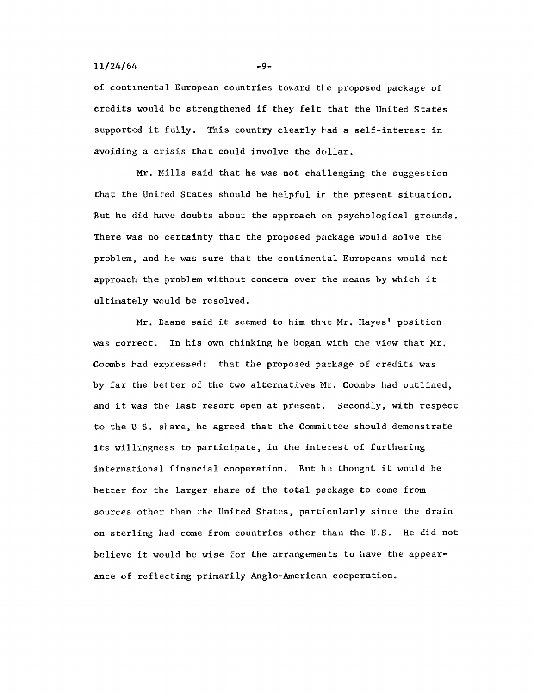## $11/24/64$  -9-

of continental European countries toward the proposed package of credits would be strengthened if they felt that the United States supported it fully. This country clearly had a self-interest in avoiding a crisis that could involve the dollar.

Mr. Mills said that he was not challenging the suggestion that the United States should be helpful ir the present situation. But he did have doubts about the approach on psychological grounds. There was no certainty that the proposed package would solve the problem, and he was sure that the continental Europeans would not approach the problem without concern over the means by which it ultimately would be resolved.

Mr. Daane said it seemed to him that Mr. Hayes' position was correct. In his own thinking he began with the view that Mr. Coombs had expressed: that the proposed package of credits was by far the better of the two alternatives Mr. Coombs had outlined, and it was the last resort open at present. Secondly, with respect to the U.S. share, he agreed that the Committee should demonstrate its willingness to participate, in the interest of furthering international financial cooperation. But he thought it would be better for the larger share of the total package to come from sources other than the United States, particularly since the drain on sterling had come from countries other than the U.S. He did not believe it would be wise for the arrangements to have the appear ance of reflecting primarily Anglo-American cooperation.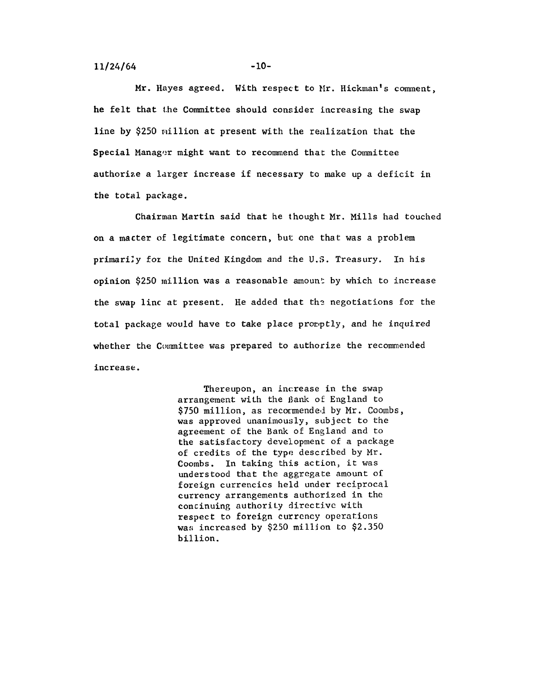$11/24/64$  -10-

Mr. Hayes agreed. With respect to Mr. Hickman's comment, he felt that the Committee should consider increasing the swap line by \$250 million at present with the realization that the Special Manager might want to recommend that the Committee authorize a larger increase if necessary to make up a deficit in the total package.

Chairman Martin said that he thought Mr. Mills had touched on a macter of legitimate concern, but one that was a problem primarily for the United Kingdom and the U.S. Treasury. In his opinion \$250 million was a reasonable amount by which to increase the swap line at present. He added that the negotiations for the total package would have to take place promptly, and he inquired whether the Committee was prepared to authorize the recommended increase.

> Thereupon, an increase in the swap arrangement with the Bank of England to \$750 million, as recormended by Mr. Coombs. was approved unanimously, subject to the agreement of the Bank of England and to the satisfactory development of a package of credits of the type described by Mr. Coombs. In taking this action, it was understood that the aggregate amount of foreign currencies held under reciprocal currency arrangements authorized in the continuing authority directive with respect to foreign currency operations was increased by \$250 million to \$2.350 billion.